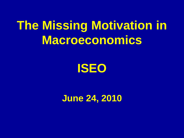## **The Missing Motivation in Macroeconomics**



**June 24, 2010**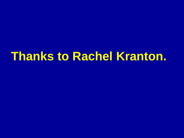## **Thanks to Rachel Kranton.**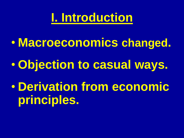**I. Introduction**

• **Macroeconomics changed.**

• **Objection to casual ways.**

• **Derivation from economic principles.**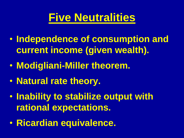#### **Five Neutralities**

- **Independence of consumption and current income (given wealth).**
- **Modigliani-Miller theorem.**
- **Natural rate theory.**
- **Inability to stabilize output with rational expectations.**
- **Ricardian equivalence.**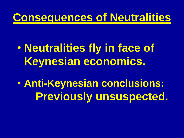#### **Consequences of Neutralities**

## • **Neutralities fly in face of Keynesian economics.**

• **Anti-Keynesian conclusions: Previously unsuspected.**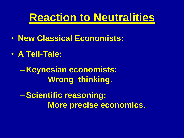#### **Reaction to Neutralities**

- **New Classical Economists:**
- **A Tell-Tale:**

– **Keynesian economists: Wrong thinking**.

–**Scientific reasoning: More precise economics**.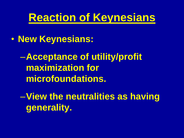#### **Reaction of Keynesians**

• **New Keynesians:**

–**Acceptance of utility/profit maximization for microfoundations.**

–**View the neutralities as having generality.**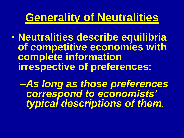#### **Generality of Neutralities**

• **Neutralities describe equilibria of competitive economies with complete information irrespective of preferences:**

–*As long as those preferences correspond to economists' typical descriptions of them.*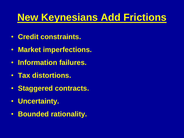#### **New Keynesians Add Frictions**

- **Credit constraints.**
- **Market imperfections.**
- **Information failures.**
- **Tax distortions.**
- **Staggered contracts.**
- **Uncertainty.**
- **Bounded rationality.**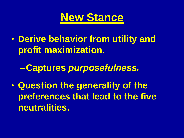

• **Derive behavior from utility and profit maximization.**

–**Captures** *purposefulness.*

• **Question the generality of the preferences that lead to the five neutralities.**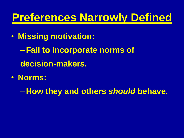#### **Preferences Narrowly Defined**

- **Missing motivation:**
	- –**Fail to incorporate norms of decision-makers.**
- **Norms:**

– **How they and others** *should* **behave.**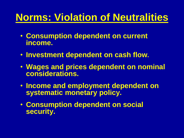#### **Norms: Violation of Neutralities**

- **Consumption dependent on current income.**
- **Investment dependent on cash flow.**
- **Wages and prices dependent on nominal considerations.**
- **Income and employment dependent on systematic monetary policy.**
- **Consumption dependent on social security.**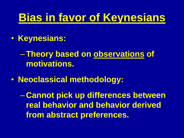#### **Bias in favor of Keynesians**

• **Keynesians:**

–**Theory based on observations of motivations.**

• **Neoclassical methodology:**

– **Cannot pick up differences between real behavior and behavior derived from abstract preferences.**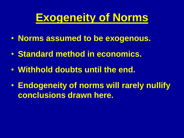#### **Exogeneity of Norms**

- **Norms assumed to be exogenous.**
- **Standard method in economics.**
- **Withhold doubts until the end.**
- **Endogeneity of norms will rarely nullify conclusions drawn here.**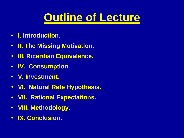#### **Outline of Lecture**

- **I. Introduction.**
- **II. The Missing Motivation.**
- **III. Ricardian Equivalence.**
- **IV. Consumption.**
- **V. Investment.**
- **VI. Natural Rate Hypothesis.**
- **VII. Rational Expectations.**
- **VIII. Methodology.**
- **IX. Conclusion.**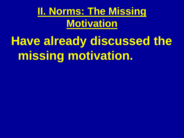#### **II. Norms: The Missing Motivation**

# **Have already discussed the missing motivation.**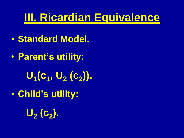#### **III. Ricardian Equivalence**

- **Standard Model.**
- **Parent's utility: U1 (c<sup>1</sup> , U<sup>2</sup> (c<sup>2</sup> )).**
- **Child's utility:**

**U2 (c<sup>2</sup> ).**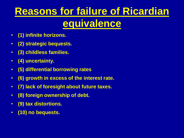### **Reasons for failure of Ricardian equivalence**

- **(1) infinite horizons.**
- **(2) strategic bequests.**
- **(3) childless families.**
- **(4) uncertainty.**
- **(5) differential borrowing rates**
- **(6) growth in excess of the interest rate.**
- **(7) lack of foresight about future taxes.**
- **(8) foreign ownership of debt.**
- **(9) tax distortions.**
- **(10) no bequests.**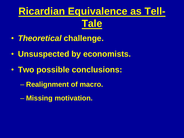## **Ricardian Equivalence as Tell-Tale**

- *Theoretical* **challenge.**
- **Unsuspected by economists.**
- **Two possible conclusions:**
	- **Realignment of macro.**
	- **Missing motivation.**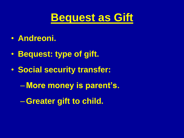

- **Andreoni.**
- **Bequest: type of gift.**
- **Social security transfer:**
	- **More money is parent's.**
	- –**Greater gift to child.**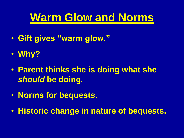#### **Warm Glow and Norms**

- **Gift gives "warm glow."**
- **Why?**
- **Parent thinks she is doing what she**  *should* **be doing***.*
- **Norms for bequests.**
- **Historic change in nature of bequests.**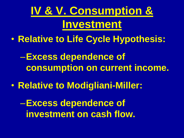**IV & V. Consumption & Investment**

• **Relative to Life Cycle Hypothesis:**

–**Excess dependence of consumption on current income.**

• **Relative to Modigliani-Miller:**

–**Excess dependence of investment on cash flow.**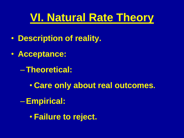#### **VI. Natural Rate Theory**

- **Description of reality.**
- **Acceptance:** 
	- –**Theoretical:**
		- **Care only about real outcomes.**
	- –**Empirical:**
		- **Failure to reject.**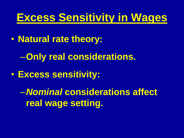#### **Excess Sensitivity in Wages**

- **Natural rate theory:**
	- –**Only real considerations.**
- **Excess sensitivity:**

–*Nominal* **considerations affect real wage setting.**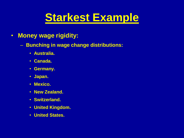#### **Starkest Example**

#### • **Money wage rigidity:**

- **Bunching in wage change distributions:**
	- **Australia.**
	- **Canada.**
	- **Germany.**
	- **Japan.**
	- **Mexico.**
	- **New Zealand.**
	- **Switzerland.**
	- **United Kingdom.**
	- **United States.**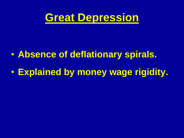

#### • **Absence of deflationary spirals.**

#### • **Explained by money wage rigidity.**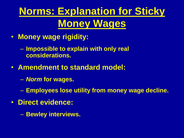### **Norms: Explanation for Sticky Money Wages**

- **Money wage rigidity:**
	- **Impossible to explain with only real considerations.**
- **Amendment to standard model:**
	- *Norm* **for wages.**
	- **Employees lose utility from money wage decline.**
- **Direct evidence:**
	- **Bewley interviews.**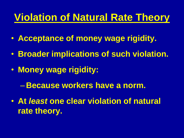#### **Violation of Natural Rate Theory**

- **Acceptance of money wage rigidity.**
- **Broader implications of such violation.**
- **Money wage rigidity:**
	- **Because workers have a norm.**
- **At** *least* **one clear violation of natural rate theory.**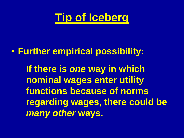

#### • **Further empirical possibility:**

**If there is** *one* **way in which nominal wages enter utility functions because of norms regarding wages, there could be**  *many other* **ways.**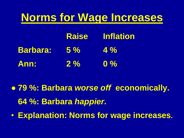#### **Norms for Wage Increases**

|                 |           | <b>Raise</b> Inflation |
|-----------------|-----------|------------------------|
| <b>Barbara:</b> | <b>5%</b> | $\frac{4}{9}$          |
| Ann:            | $2\%$     | $\mathbf{0}$ %         |

● **79 %: Barbara** *worse off* **economically. 64 %: Barbara** *happier***.**

• **Explanation: Norms for wage increases.**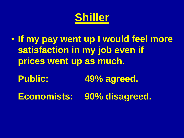#### **Shiller**

- **If my pay went up I would feel more satisfaction in my job even if prices went up as much.**
	- **Public: 49% agreed.**
	- **Economists: 90% disagreed.**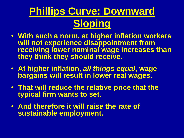### **Phillips Curve: Downward Sloping**

- **With such a norm, at higher inflation workers will not experience disappointment from receiving lower nominal wage increases than they think they should receive.**
- **At higher inflation,** *all things equal***, wage bargains will result in lower real wages.**
- **That will reduce the relative price that the typical firm wants to set.**
- **And therefore it will raise the rate of sustainable employment.**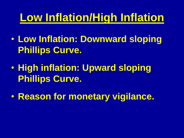#### **Low Inflation/High Inflation**

- **Low Inflation: Downward sloping Phillips Curve.**
- **High inflation: Upward sloping Phillips Curve.**
- **Reason for monetary vigilance.**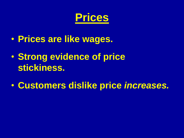

- **Prices are like wages.**
- **Strong evidence of price stickiness.**
- **Customers dislike price** *increases.*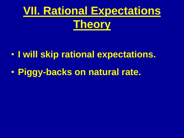## **VII. Rational Expectations Theory**

- **I will skip rational expectations.**
- **Piggy-backs on natural rate.**